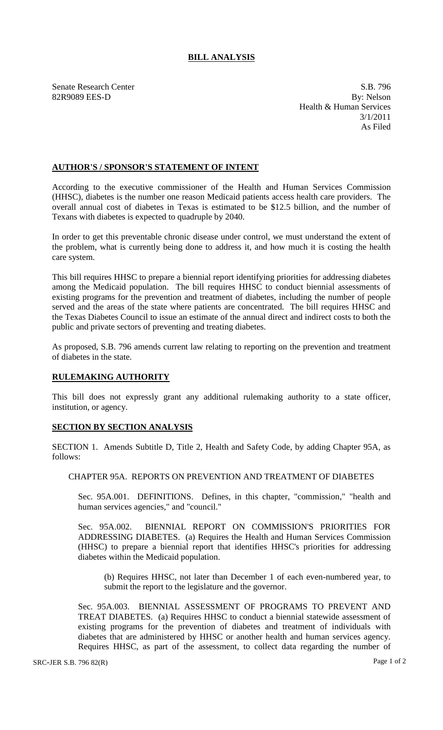# **BILL ANALYSIS**

Senate Research Center S.B. 796 82R9089 EES-D By: Nelson Health & Human Services 3/1/2011 As Filed

## **AUTHOR'S / SPONSOR'S STATEMENT OF INTENT**

According to the executive commissioner of the Health and Human Services Commission (HHSC), diabetes is the number one reason Medicaid patients access health care providers. The overall annual cost of diabetes in Texas is estimated to be \$12.5 billion, and the number of Texans with diabetes is expected to quadruple by 2040.

In order to get this preventable chronic disease under control, we must understand the extent of the problem, what is currently being done to address it, and how much it is costing the health care system.

This bill requires HHSC to prepare a biennial report identifying priorities for addressing diabetes among the Medicaid population. The bill requires HHSC to conduct biennial assessments of existing programs for the prevention and treatment of diabetes, including the number of people served and the areas of the state where patients are concentrated. The bill requires HHSC and the Texas Diabetes Council to issue an estimate of the annual direct and indirect costs to both the public and private sectors of preventing and treating diabetes.

As proposed, S.B. 796 amends current law relating to reporting on the prevention and treatment of diabetes in the state.

## **RULEMAKING AUTHORITY**

This bill does not expressly grant any additional rulemaking authority to a state officer, institution, or agency.

## **SECTION BY SECTION ANALYSIS**

SECTION 1. Amends Subtitle D, Title 2, Health and Safety Code, by adding Chapter 95A, as follows:

## CHAPTER 95A. REPORTS ON PREVENTION AND TREATMENT OF DIABETES

Sec. 95A.001. DEFINITIONS. Defines, in this chapter, "commission," "health and human services agencies," and "council."

Sec. 95A.002. BIENNIAL REPORT ON COMMISSION'S PRIORITIES FOR ADDRESSING DIABETES. (a) Requires the Health and Human Services Commission (HHSC) to prepare a biennial report that identifies HHSC's priorities for addressing diabetes within the Medicaid population.

(b) Requires HHSC, not later than December 1 of each even-numbered year, to submit the report to the legislature and the governor.

Sec. 95A.003. BIENNIAL ASSESSMENT OF PROGRAMS TO PREVENT AND TREAT DIABETES. (a) Requires HHSC to conduct a biennial statewide assessment of existing programs for the prevention of diabetes and treatment of individuals with diabetes that are administered by HHSC or another health and human services agency. Requires HHSC, as part of the assessment, to collect data regarding the number of